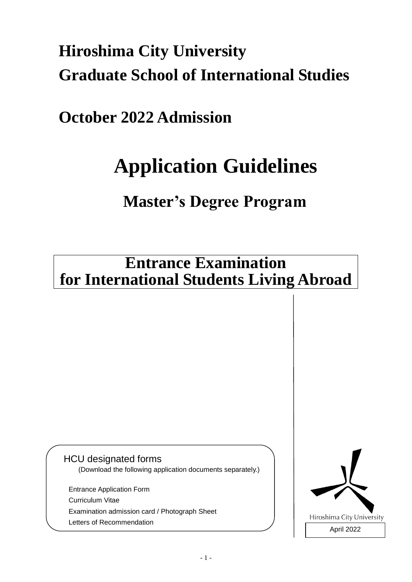# **Hiroshima City University Graduate School of International Studies**

### **October 2022 Admission**

# **Application Guidelines**

## **Master's Degree Program**

### **Entrance Examination for International Students Living Abroad**

### HCU designated forms

(Download the following application documents separately.)

Entrance Application Form Curriculum Vitae Examination admission card / Photograph Sheet Letters of Recommendation

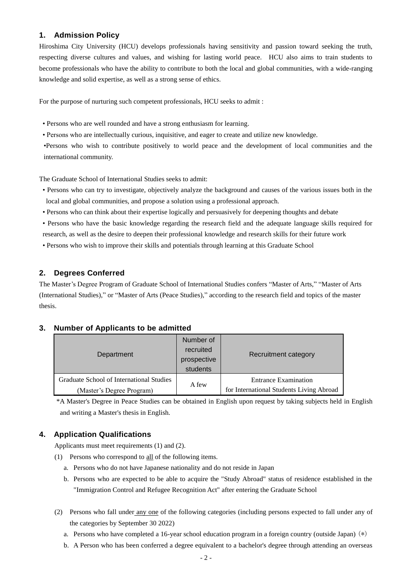#### **1. Admission Policy**

Hiroshima City University (HCU) develops professionals having sensitivity and passion toward seeking the truth, respecting diverse cultures and values, and wishing for lasting world peace. HCU also aims to train students to become professionals who have the ability to contribute to both the local and global communities, with a wide-ranging knowledge and solid expertise, as well as a strong sense of ethics.

For the purpose of nurturing such competent professionals, HCU seeks to admit :

- Persons who are well rounded and have a strong enthusiasm for learning.
- Persons who are intellectually curious, inquisitive, and eager to create and utilize new knowledge.

•Persons who wish to contribute positively to world peace and the development of local communities and the international community.

The Graduate School of International Studies seeks to admit:

- Persons who can try to investigate, objectively analyze the background and causes of the various issues both in the local and global communities, and propose a solution using a professional approach.
- Persons who can think about their expertise logically and persuasively for deepening thoughts and debate
- Persons who have the basic knowledge regarding the research field and the adequate language skills required for research, as well as the desire to deepen their professional knowledge and research skills for their future work
- Persons who wish to improve their skills and potentials through learning at this Graduate School

#### **2. Degrees Conferred**

The Master's Degree Program of Graduate School of International Studies confers "Master of Arts," "Master of Arts (International Studies)," or "Master of Arts (Peace Studies)," according to the research field and topics of the master thesis.

#### **3. Number of Applicants to be admitted**

| Department                               | Number of<br>recruited<br>prospective<br>students | Recruitment category                                                    |
|------------------------------------------|---------------------------------------------------|-------------------------------------------------------------------------|
| Graduate School of International Studies | A few                                             | <b>Entrance Examination</b><br>for International Students Living Abroad |
| (Master's Degree Program)                |                                                   |                                                                         |

\*A Master's Degree in Peace Studies can be obtained in English upon request by taking subjects held in English and writing a Master's thesis in English.

#### **4. Application Qualifications**

Applicants must meet requirements (1) and (2).

- (1) Persons who correspond to all of the following items.
	- a. Persons who do not have Japanese nationality and do not reside in Japan
	- b. Persons who are expected to be able to acquire the "Study Abroad" status of residence established in the "Immigration Control and Refugee Recognition Act" after entering the Graduate School
- (2) Persons who fall under any one of the following categories (including persons expected to fall under any of the categories by September 30 2022)
	- a. Persons who have completed a 16-year school education program in a foreign country (outside Japan) (\*)
	- b. A Person who has been conferred a degree equivalent to a bachelor's degree through attending an overseas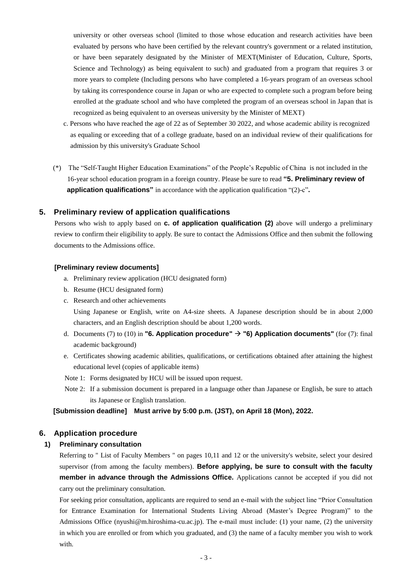university or other overseas school (limited to those whose education and research activities have been evaluated by persons who have been certified by the relevant country's government or a related institution, or have been separately designated by the Minister of MEXT(Minister of Education, Culture, Sports, Science and Technology) as being equivalent to such) and graduated from a program that requires 3 or more years to complete (Including persons who have completed a 16-years program of an overseas school by taking its correspondence course in Japan or who are expected to complete such a program before being enrolled at the graduate school and who have completed the program of an overseas school in Japan that is recognized as being equivalent to an overseas university by the Minister of MEXT)

- c. Persons who have reached the age of 22 as of September 30 2022, and whose academic ability is recognized as equaling or exceeding that of a college graduate, based on an individual review of their qualifications for admission by this university's Graduate School
- (\*) The "Self-Taught Higher Education Examinations" of the People's Republic of China is not included in the 16-year school education program in a foreign country. Please be sure to read **"5. Preliminary review of application qualifications"** in accordance with the application qualification "(2)-c"**.**

#### **5. Preliminary review of application qualifications**

Persons who wish to apply based on **c. of application qualification (2)** above will undergo a preliminary review to confirm their eligibility to apply. Be sure to contact the Admissions Office and then submit the following documents to the Admissions office.

#### **[Preliminary review documents]**

- a. Preliminary review application (HCU designated form)
- b. Resume (HCU designated form)
- c. Research and other achievements

Using Japanese or English, write on A4-size sheets. A Japanese description should be in about 2,000 characters, and an English description should be about 1,200 words.

- d. Documents (7) to (10) in **"6. Application procedure"** → **"6) Application documents"** (for (7): final academic background)
- e. Certificates showing academic abilities, qualifications, or certifications obtained after attaining the highest educational level (copies of applicable items)
- Note 1: Forms designated by HCU will be issued upon request.
- Note 2: If a submission document is prepared in a language other than Japanese or English, be sure to attach its Japanese or English translation.

#### **[Submission deadline] Must arrive by 5:00 p.m. (JST), on April 18 (Mon), 2022.**

#### **6. Application procedure**

#### **1) Preliminary consultation**

Referring to " List of Faculty Members " on pages 10,11 and 12 or the university's website, select your desired supervisor (from among the faculty members). **Before applying, be sure to consult with the faculty member in advance through the Admissions Office.** Applications cannot be accepted if you did not carry out the preliminary consultation.

For seeking prior consultation, applicants are required to send an e-mail with the subject line "Prior Consultation for Entrance Examination for International Students Living Abroad (Master's Degree Program)" to the Admissions Office (nyushi@m.hiroshima-cu.ac.jp). The e-mail must include: (1) your name, (2) the university in which you are enrolled or from which you graduated, and (3) the name of a faculty member you wish to work with.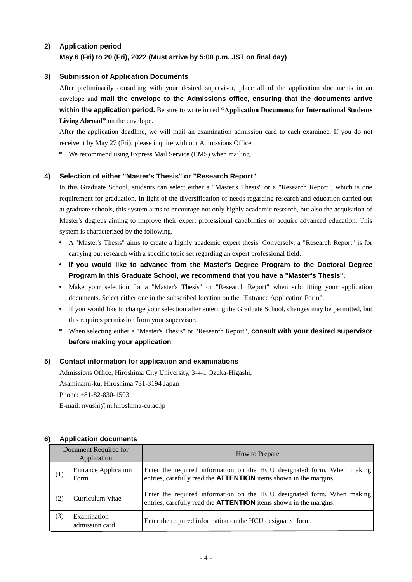#### **2) Application period May 6 (Fri) to 20 (Fri), 2022 (Must arrive by 5:00 p.m. JST on final day)**

#### **3) Submission of Application Documents**

After preliminarily consulting with your desired supervisor, place all of the application documents in an envelope and **mail the envelope to the Admissions office, ensuring that the documents arrive within the application period.** Be sure to write in red **"Application Documents for International Students Living Abroad"** on the envelope.

After the application deadline, we will mail an examination admission card to each examinee. If you do not receive it by May 27 (Fri), please inquire with our Admissions Office.

\* We recommend using Express Mail Service (EMS) when mailing.

#### **4) Selection of either "Master's Thesis" or "Research Report"**

In this Graduate School, students can select either a "Master's Thesis" or a "Research Report", which is one requirement for graduation. In light of the diversification of needs regarding research and education carried out at graduate schools, this system aims to encourage not only highly academic research, but also the acquisition of Master's degrees aiming to improve their expert professional capabilities or acquire advanced education. This system is characterized by the following.

- A "Master's Thesis" aims to create a highly academic expert thesis. Conversely, a "Research Report" is for carrying out research with a specific topic set regarding an expert professional field.
- **If you would like to advance from the Master's Degree Program to the Doctoral Degree Program in this Graduate School, we recommend that you have a "Master's Thesis".**
- Make your selection for a "Master's Thesis" or "Research Report" when submitting your application documents. Select either one in the subscribed location on the "Entrance Application Form".
- If you would like to change your selection after entering the Graduate School, changes may be permitted, but this requires permission from your supervisor.
- \* When selecting either a "Master's Thesis" or "Research Report", **consult with your desired supervisor before making your application**.

#### **5) Contact information for application and examinations**

Admissions Office, Hiroshima City University, 3-4-1 Ozuka-Higashi, Asaminami-ku, Hiroshima 731-3194 Japan Phone: +81-82-830-1503 E-mail: nyushi@m.hiroshima-cu.ac.jp

#### **6) Application documents**

| Document Required for<br>Application |                                     | How to Prepare                                                                                                                                     |
|--------------------------------------|-------------------------------------|----------------------------------------------------------------------------------------------------------------------------------------------------|
| (1)                                  | <b>Entrance Application</b><br>Form | Enter the required information on the HCU designated form. When making<br>entries, carefully read the <b>ATTENTION</b> items shown in the margins. |
| (2)                                  | Curriculum Vitae                    | Enter the required information on the HCU designated form. When making<br>entries, carefully read the <b>ATTENTION</b> items shown in the margins. |
| (3)                                  | Examination<br>admission card       | Enter the required information on the HCU designated form.                                                                                         |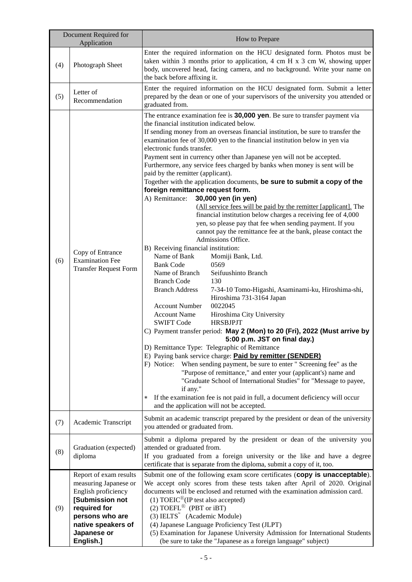| Document Required for<br>Application |                                                                                                                                                                                | How to Prepare                                                                                                                                                                                                                                                                                                                                                                                                                                                                                                                                                                                                                                                                                                                                                                                                                                                                                                                                                                                                                                                                                                                                                                                                                                                                                                                                                                                                                                                                                                                                                                                                                                                                                                                                                                                                                                                                                                                                                                                            |  |  |
|--------------------------------------|--------------------------------------------------------------------------------------------------------------------------------------------------------------------------------|-----------------------------------------------------------------------------------------------------------------------------------------------------------------------------------------------------------------------------------------------------------------------------------------------------------------------------------------------------------------------------------------------------------------------------------------------------------------------------------------------------------------------------------------------------------------------------------------------------------------------------------------------------------------------------------------------------------------------------------------------------------------------------------------------------------------------------------------------------------------------------------------------------------------------------------------------------------------------------------------------------------------------------------------------------------------------------------------------------------------------------------------------------------------------------------------------------------------------------------------------------------------------------------------------------------------------------------------------------------------------------------------------------------------------------------------------------------------------------------------------------------------------------------------------------------------------------------------------------------------------------------------------------------------------------------------------------------------------------------------------------------------------------------------------------------------------------------------------------------------------------------------------------------------------------------------------------------------------------------------------------------|--|--|
| (4)                                  | Photograph Sheet                                                                                                                                                               | Enter the required information on the HCU designated form. Photos must be<br>taken within 3 months prior to application, 4 cm H $x$ 3 cm W, showing upper<br>body, uncovered head, facing camera, and no background. Write your name on<br>the back before affixing it.                                                                                                                                                                                                                                                                                                                                                                                                                                                                                                                                                                                                                                                                                                                                                                                                                                                                                                                                                                                                                                                                                                                                                                                                                                                                                                                                                                                                                                                                                                                                                                                                                                                                                                                                   |  |  |
| (5)                                  | Letter of<br>Recommendation                                                                                                                                                    | Enter the required information on the HCU designated form. Submit a letter<br>prepared by the dean or one of your supervisors of the university you attended or<br>graduated from.                                                                                                                                                                                                                                                                                                                                                                                                                                                                                                                                                                                                                                                                                                                                                                                                                                                                                                                                                                                                                                                                                                                                                                                                                                                                                                                                                                                                                                                                                                                                                                                                                                                                                                                                                                                                                        |  |  |
| (6)                                  | Copy of Entrance<br><b>Examination Fee</b><br><b>Transfer Request Form</b>                                                                                                     | The entrance examination fee is 30,000 yen. Be sure to transfer payment via<br>the financial institution indicated below.<br>If sending money from an overseas financial institution, be sure to transfer the<br>examination fee of 30,000 yen to the financial institution below in yen via<br>electronic funds transfer.<br>Payment sent in currency other than Japanese yen will not be accepted.<br>Furthermore, any service fees charged by banks when money is sent will be<br>paid by the remitter (applicant).<br>Together with the application documents, be sure to submit a copy of the<br>foreign remittance request form.<br>A) Remittance:<br>30,000 yen (in yen)<br>(All service fees will be paid by the remitter [applicant]. The<br>financial institution below charges a receiving fee of 4,000<br>yen, so please pay that fee when sending payment. If you<br>cannot pay the remittance fee at the bank, please contact the<br>Admissions Office.<br>B) Receiving financial institution:<br>Name of Bank<br>Momiji Bank, Ltd.<br><b>Bank Code</b><br>0569<br>Name of Branch<br>Seifuushinto Branch<br><b>Branch Code</b><br>130<br><b>Branch Address</b><br>7-34-10 Tomo-Higashi, Asaminami-ku, Hiroshima-shi,<br>Hiroshima 731-3164 Japan<br><b>Account Number</b><br>0022045<br><b>Account Name</b><br>Hiroshima City University<br><b>SWIFT Code</b><br><b>HRSBJPJT</b><br>C) Payment transfer period: May 2 (Mon) to 20 (Fri), 2022 (Must arrive by<br>5:00 p.m. JST on final day.)<br>D) Remittance Type: Telegraphic of Remittance<br>E) Paying bank service charge: <b>Paid by remitter (SENDER)</b><br>F) Notice:<br>When sending payment, be sure to enter " Screening fee" as the<br>"Purpose of remittance," and enter your (applicant's) name and<br>"Graduate School of International Studies" for "Message to payee,<br>if any."<br>If the examination fee is not paid in full, a document deficiency will occur<br>$\ast$<br>and the application will not be accepted. |  |  |
| (7)                                  | Academic Transcript                                                                                                                                                            | Submit an academic transcript prepared by the president or dean of the university<br>you attended or graduated from.                                                                                                                                                                                                                                                                                                                                                                                                                                                                                                                                                                                                                                                                                                                                                                                                                                                                                                                                                                                                                                                                                                                                                                                                                                                                                                                                                                                                                                                                                                                                                                                                                                                                                                                                                                                                                                                                                      |  |  |
| (8)                                  | Graduation (expected)<br>diploma                                                                                                                                               | Submit a diploma prepared by the president or dean of the university you<br>attended or graduated from.<br>If you graduated from a foreign university or the like and have a degree<br>certificate that is separate from the diploma, submit a copy of it, too.                                                                                                                                                                                                                                                                                                                                                                                                                                                                                                                                                                                                                                                                                                                                                                                                                                                                                                                                                                                                                                                                                                                                                                                                                                                                                                                                                                                                                                                                                                                                                                                                                                                                                                                                           |  |  |
| (9)                                  | Report of exam results<br>measuring Japanese or<br>English proficiency<br>[Submission not<br>required for<br>persons who are<br>native speakers of<br>Japanese or<br>English.] | Submit one of the following exam score certificates (copy is unacceptable).<br>We accept only scores from these tests taken after April of 2020. Original<br>documents will be enclosed and returned with the examination admission card.<br>(1) TOEIC <sup>®</sup> (IP test also accepted)<br>(2) TOEFL <sup>®</sup> (PBT or iBT)<br>$(3)$ IELTS <sup><sup><i>m</i></sup></sup> (Academic Module)<br>(4) Japanese Language Proficiency Test (JLPT)<br>(5) Examination for Japanese University Admission for International Students<br>(be sure to take the "Japanese as a foreign language" subject)                                                                                                                                                                                                                                                                                                                                                                                                                                                                                                                                                                                                                                                                                                                                                                                                                                                                                                                                                                                                                                                                                                                                                                                                                                                                                                                                                                                                     |  |  |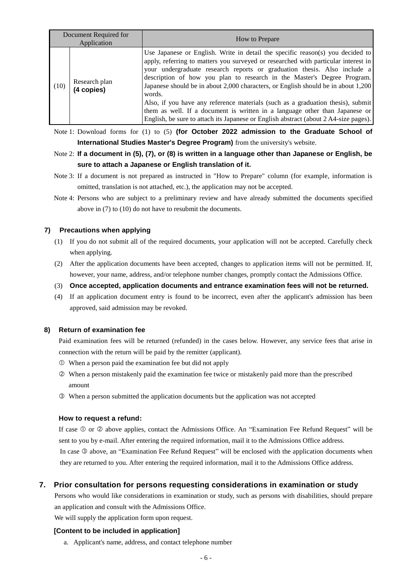| Document Required for<br>Application |                             | How to Prepare                                                                                                                                                                                                                                                                                                                                                                                                                                                                                                                                                                                                                                                                       |  |
|--------------------------------------|-----------------------------|--------------------------------------------------------------------------------------------------------------------------------------------------------------------------------------------------------------------------------------------------------------------------------------------------------------------------------------------------------------------------------------------------------------------------------------------------------------------------------------------------------------------------------------------------------------------------------------------------------------------------------------------------------------------------------------|--|
| (10)                                 | Research plan<br>(4 copies) | Use Japanese or English. Write in detail the specific reason(s) you decided to<br>apply, referring to matters you surveyed or researched with particular interest in<br>your undergraduate research reports or graduation thesis. Also include a<br>description of how you plan to research in the Master's Degree Program.<br>Japanese should be in about 2,000 characters, or English should be in about 1,200<br>words.<br>Also, if you have any reference materials (such as a graduation thesis), submit<br>them as well. If a document is written in a language other than Japanese or<br>English, be sure to attach its Japanese or English abstract (about 2 A4-size pages). |  |

Note 1: Download forms for (1) to (5) **(for October 2022 admission to the Graduate School of International Studies Master's Degree Program)** from the university's website.

#### Note 2: **If a document in (5), (7), or (8) is written in a language other than Japanese or English, be sure to attach a Japanese or English translation of it.**

- Note 3: If a document is not prepared as instructed in "How to Prepare" column (for example, information is omitted, translation is not attached, etc.), the application may not be accepted.
- Note 4: Persons who are subject to a preliminary review and have already submitted the documents specified above in (7) to (10) do not have to resubmit the documents.

#### **7) Precautions when applying**

- (1) If you do not submit all of the required documents, your application will not be accepted. Carefully check when applying.
- (2) After the application documents have been accepted, changes to application items will not be permitted. If, however, your name, address, and/or telephone number changes, promptly contact the Admissions Office.
- (3) **Once accepted, application documents and entrance examination fees will not be returned.**
- (4) If an application document entry is found to be incorrect, even after the applicant's admission has been approved, said admission may be revoked.

#### **8) Return of examination fee**

Paid examination fees will be returned (refunded) in the cases below. However, any service fees that arise in connection with the return will be paid by the remitter (applicant).

- When a person paid the examination fee but did not apply
- When a person mistakenly paid the examination fee twice or mistakenly paid more than the prescribed amount
- When a person submitted the application documents but the application was not accepted

#### **How to request a refund:**

If case  $\mathbb O$  or  $\mathbb O$  above applies, contact the Admissions Office. An "Examination Fee Refund Request" will be sent to you by e-mail. After entering the required information, mail it to the Admissions Office address. In case  $\circled{a}$  above, an "Examination Fee Refund Request" will be enclosed with the application documents when

they are returned to you. After entering the required information, mail it to the Admissions Office address.

#### **7. Prior consultation for persons requesting considerations in examination or study**

Persons who would like considerations in examination or study, such as persons with disabilities, should prepare an application and consult with the Admissions Office.

We will supply the application form upon request.

#### **[Content to be included in application]**

a. Applicant's name, address, and contact telephone number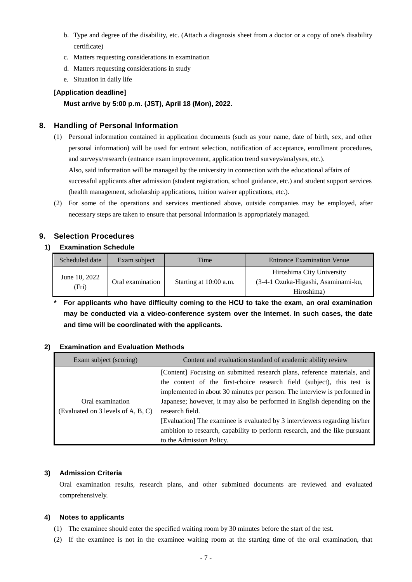- b. Type and degree of the disability, etc. (Attach a diagnosis sheet from a doctor or a copy of one's disability certificate)
- c. Matters requesting considerations in examination
- d. Matters requesting considerations in study
- e. Situation in daily life

#### **[Application deadline]**

#### **Must arrive by 5:00 p.m. (JST), April 18 (Mon), 2022.**

#### **8. Handling of Personal Information**

- (1) Personal information contained in application documents (such as your name, date of birth, sex, and other personal information) will be used for entrant selection, notification of acceptance, enrollment procedures, and surveys/research (entrance exam improvement, application trend surveys/analyses, etc.). Also, said information will be managed by the university in connection with the educational affairs of successful applicants after admission (student registration, school guidance, etc.) and student support services (health management, scholarship applications, tuition waiver applications, etc.).
- (2) For some of the operations and services mentioned above, outside companies may be employed, after necessary steps are taken to ensure that personal information is appropriately managed.

#### **9. Selection Procedures**

#### **1) Examination Schedule**

| Scheduled date         | Exam subject     | Time                   | <b>Entrance Examination Venue</b>                                              |
|------------------------|------------------|------------------------|--------------------------------------------------------------------------------|
| June 10, 2022<br>(Fri) | Oral examination | Starting at 10:00 a.m. | Hiroshima City University<br>(3-4-1 Ozuka-Higashi, Asaminami-ku,<br>Hiroshima) |

**\* For applicants who have difficulty coming to the HCU to take the exam, an oral examination may be conducted via a video-conference system over the Internet. In such cases, the date and time will be coordinated with the applicants.**

#### **2) Examination and Evaluation Methods**

| Exam subject (scoring)                                 | Content and evaluation standard of academic ability review                                                                                                                                                                                                                                                                                                                                                                                                                                                             |
|--------------------------------------------------------|------------------------------------------------------------------------------------------------------------------------------------------------------------------------------------------------------------------------------------------------------------------------------------------------------------------------------------------------------------------------------------------------------------------------------------------------------------------------------------------------------------------------|
| Oral examination<br>(Evaluated on 3 levels of A, B, C) | [Content] Focusing on submitted research plans, reference materials, and<br>the content of the first-choice research field (subject), this test is<br>implemented in about 30 minutes per person. The interview is performed in<br>Japanese; however, it may also be performed in English depending on the<br>research field.<br>[Evaluation] The examinee is evaluated by 3 interviewers regarding his/her<br>ambition to research, capability to perform research, and the like pursuant<br>to the Admission Policy. |

#### **3) Admission Criteria**

Oral examination results, research plans, and other submitted documents are reviewed and evaluated comprehensively.

#### **4) Notes to applicants**

- (1) The examinee should enter the specified waiting room by 30 minutes before the start of the test.
- (2) If the examinee is not in the examinee waiting room at the starting time of the oral examination, that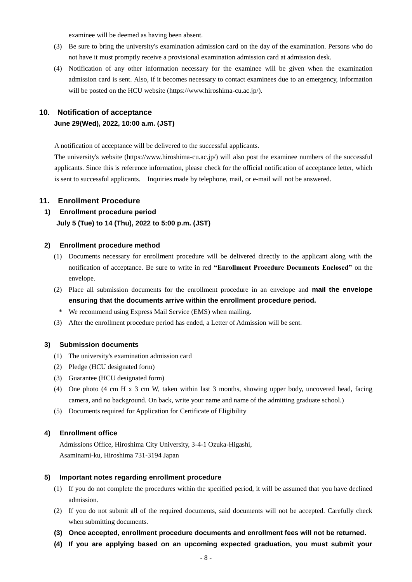examinee will be deemed as having been absent.

- (3) Be sure to bring the university's examination admission card on the day of the examination. Persons who do not have it must promptly receive a provisional examination admission card at admission desk.
- (4) Notification of any other information necessary for the examinee will be given when the examination admission card is sent. Also, if it becomes necessary to contact examinees due to an emergency, information will be posted on the HCU website [\(https://www.hiroshima-cu.ac.jp/\)](https://www.hiroshima-cu.ac.jp/).

#### **10. Notification of acceptance**

#### **June 29(Wed), 2022, 10:00 a.m. (JST)**

A notification of acceptance will be delivered to the successful applicants.

The university's website [\(https://www.hiroshima-cu.ac.jp/\)](https://www.hiroshima-cu.ac.jp/) will also post the examinee numbers of the successful applicants. Since this is reference information, please check for the official notification of acceptance letter, which is sent to successful applicants. Inquiries made by telephone, mail, or e-mail will not be answered.

#### **11. Enrollment Procedure**

#### **1) Enrollment procedure period July 5 (Tue) to 14 (Thu), 2022 to 5:00 p.m. (JST)**

#### **2) Enrollment procedure method**

- (1) Documents necessary for enrollment procedure will be delivered directly to the applicant along with the notification of acceptance. Be sure to write in red **"Enrollment Procedure Documents Enclosed"** on the envelope.
- (2) Place all submission documents for the enrollment procedure in an envelope and **mail the envelope ensuring that the documents arrive within the enrollment procedure period.**
- \* We recommend using Express Mail Service (EMS) when mailing.
- (3) After the enrollment procedure period has ended, a Letter of Admission will be sent.

#### **3) Submission documents**

- (1) The university's examination admission card
- (2) Pledge (HCU designated form)
- (3) Guarantee (HCU designated form)
- (4) One photo (4 cm H x 3 cm W, taken within last 3 months, showing upper body, uncovered head, facing camera, and no background. On back, write your name and name of the admitting graduate school.)
- (5) Documents required for Application for Certificate of Eligibility

#### **4) Enrollment office**

Admissions Office, Hiroshima City University, 3-4-1 Ozuka-Higashi, Asaminami-ku, Hiroshima 731-3194 Japan

#### **5) Important notes regarding enrollment procedure**

- (1) If you do not complete the procedures within the specified period, it will be assumed that you have declined admission.
- (2) If you do not submit all of the required documents, said documents will not be accepted. Carefully check when submitting documents.
- **(3) Once accepted, enrollment procedure documents and enrollment fees will not be returned.**
- **(4) If you are applying based on an upcoming expected graduation, you must submit your**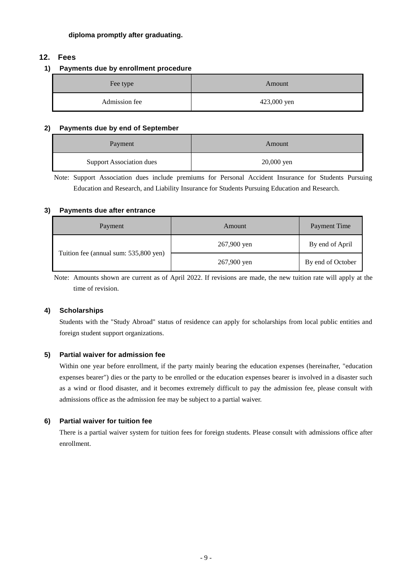#### **diploma promptly after graduating.**

#### **12. Fees**

#### **1) Payments due by enrollment procedure**

| Fee type      | Amount      |  |
|---------------|-------------|--|
| Admission fee | 423,000 yen |  |

#### **2) Payments due by end of September**

| Payment                         | Amount       |  |
|---------------------------------|--------------|--|
| <b>Support Association dues</b> | $20,000$ yen |  |

Note: Support Association dues include premiums for Personal Accident Insurance for Students Pursuing Education and Research, and Liability Insurance for Students Pursuing Education and Research.

#### **3) Payments due after entrance**

| Payment                               | Amount      | <b>Payment Time</b> |
|---------------------------------------|-------------|---------------------|
|                                       | 267,900 yen | By end of April     |
| Tuition fee (annual sum: 535,800 yen) | 267,900 yen | By end of October   |

Note: Amounts shown are current as of April 2022. If revisions are made, the new tuition rate will apply at the time of revision.

#### **4) Scholarships**

Students with the "Study Abroad" status of residence can apply for scholarships from local public entities and foreign student support organizations.

#### **5) Partial waiver for admission fee**

Within one year before enrollment, if the party mainly bearing the education expenses (hereinafter, "education expenses bearer") dies or the party to be enrolled or the education expenses bearer is involved in a disaster such as a wind or flood disaster, and it becomes extremely difficult to pay the admission fee, please consult with admissions office as the admission fee may be subject to a partial waiver.

#### **6) Partial waiver for tuition fee**

There is a partial waiver system for tuition fees for foreign students. Please consult with admissions office after enrollment.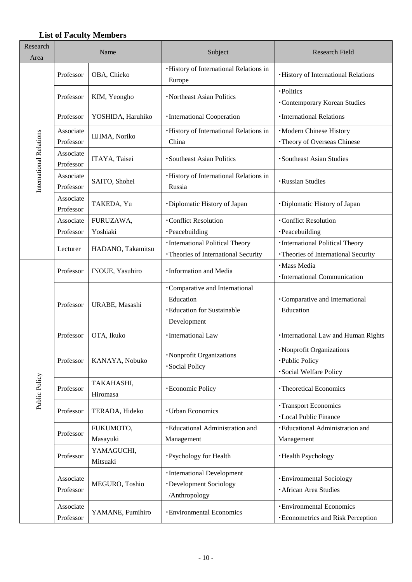#### **List of Faculty Members**

| Research<br>Area        | Name                   |                        | Subject                                                                                         | <b>Research Field</b>                                                         |
|-------------------------|------------------------|------------------------|-------------------------------------------------------------------------------------------------|-------------------------------------------------------------------------------|
|                         | Professor              | OBA, Chieko            | ·History of International Relations in<br>Europe                                                | <b>·History of International Relations</b>                                    |
|                         | Professor              | KIM, Yeongho           | · Northeast Asian Politics                                                                      | ·Politics<br><b>Contemporary Korean Studies</b>                               |
|                         | Professor              | YOSHIDA, Haruhiko      | · International Cooperation                                                                     | · International Relations                                                     |
|                         | Associate<br>Professor | IIJIMA, Noriko         | ·History of International Relations in<br>China                                                 | ·Modern Chinese History<br>· Theory of Overseas Chinese                       |
|                         | Associate<br>Professor | ITAYA, Taisei          | ·Southeast Asian Politics                                                                       | ·Southeast Asian Studies                                                      |
| International Relations | Associate<br>Professor | SAITO, Shohei          | · History of International Relations in<br>Russia                                               | · Russian Studies                                                             |
|                         | Associate<br>Professor | TAKEDA, Yu             | ·Diplomatic History of Japan                                                                    | ·Diplomatic History of Japan                                                  |
|                         | Associate              | FURUZAWA,              | <b>Conflict Resolution</b>                                                                      | ·Conflict Resolution                                                          |
|                         | Professor              | Yoshiaki               | · Peacebuilding                                                                                 | ·Peacebuilding                                                                |
|                         | Lecturer               | HADANO, Takamitsu      | · International Political Theory<br>· Theories of International Security                        | · International Political Theory<br>· Theories of International Security      |
|                         | Professor              | INOUE, Yasuhiro        | · Information and Media                                                                         | · Mass Media<br>· International Communication                                 |
|                         | Professor              | URABE, Masashi         | •Comparative and International<br>Education<br><b>·Education for Sustainable</b><br>Development | •Comparative and International<br>Education                                   |
|                         | Professor              | OTA, Ikuko             | ·International Law                                                                              | · International Law and Human Rights                                          |
|                         | Professor              | KANAYA, Nobuko         | · Nonprofit Organizations<br>· Social Policy                                                    | · Nonprofit Organizations<br>·Public Policy<br>· Social Welfare Policy        |
| Public Policy           | Professor              | TAKAHASHI,<br>Hiromasa | · Economic Policy                                                                               | · Theoretical Economics                                                       |
|                         | Professor              | TERADA, Hideko         | <b>· Urban Economics</b>                                                                        | · Transport Economics<br><b>·Local Public Finance</b>                         |
|                         | Professor              | FUKUMOTO,<br>Masayuki  | · Educational Administration and<br>Management                                                  | · Educational Administration and<br>Management                                |
|                         | Professor              | YAMAGUCHI,<br>Mitsuaki | ·Psychology for Health                                                                          | ·Health Psychology                                                            |
|                         | Associate<br>Professor | MEGURO, Toshio         | ·International Development<br>·Development Sociology<br>/Anthropology                           | <b>·Environmental Sociology</b><br>· African Area Studies                     |
|                         | Associate<br>Professor | YAMANE, Fumihiro       | · Environmental Economics                                                                       | <b>· Environmental Economics</b><br><b>· Econometrics and Risk Perception</b> |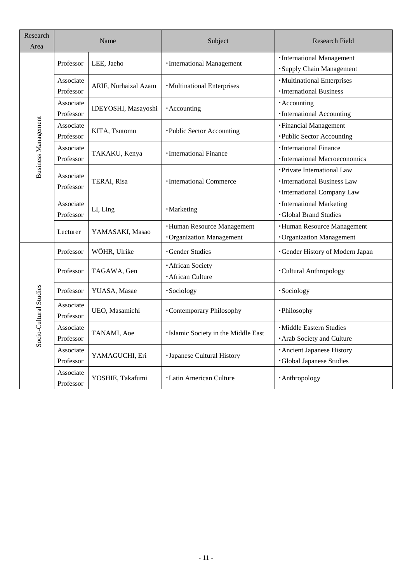| Research<br>Area           | Name                   |                      | Subject                             | <b>Research Field</b>                  |
|----------------------------|------------------------|----------------------|-------------------------------------|----------------------------------------|
|                            | Professor              | LEE, Jaeho           | · International Management          | ·International Management              |
|                            |                        |                      |                                     | ·Supply Chain Management               |
|                            | Associate              | ARIF, Nurhaizal Azam |                                     | · Multinational Enterprises            |
|                            | Professor              |                      | ·Multinational Enterprises          | · International Business               |
|                            | Associate              | IDEYOSHI, Masayoshi  | · Accounting                        | · Accounting                           |
|                            | Professor              |                      |                                     | ·International Accounting              |
| <b>Business Management</b> | Associate              | KITA, Tsutomu        | ·Public Sector Accounting           | · Financial Management                 |
|                            | Professor              |                      |                                     | ·Public Sector Accounting              |
|                            | Associate              | TAKAKU, Kenya        | · International Finance             | ·International Finance                 |
|                            | Professor              |                      |                                     | · International Macroeconomics         |
|                            | Associate              |                      |                                     | • Private International Law            |
|                            | Professor              | TERAI, Risa          | <b>·International Commerce</b>      | · International Business Law           |
|                            |                        |                      |                                     | ·International Company Law             |
|                            | Associate              | LI, Ling             | · Marketing                         | ·International Marketing               |
|                            | Professor              |                      |                                     | <b>Global Brand Studies</b>            |
|                            | Lecturer               | YAMASAKI, Masao      | <b>·Human Resource Management</b>   | <b>·Human Resource Management</b>      |
|                            |                        |                      | <b>·Organization Management</b>     | <b>·Organization Management</b>        |
|                            | Professor              | WÖHR, Ulrike         | <b>Gender Studies</b>               | <b>·Gender History of Modern Japan</b> |
|                            | Professor              | TAGAWA, Gen          | <b>African Society</b>              | <b>Cultural Anthropology</b>           |
|                            |                        |                      | · African Culture                   |                                        |
|                            | Professor              | YUASA, Masae         | ·Sociology                          | ·Sociology                             |
|                            | Associate              | UEO, Masamichi       | •Contemporary Philosophy            | ·Philosophy                            |
|                            | Professor              |                      |                                     |                                        |
| Socio-Cultural Studies     | Associate              | TANAMI, Aoe          | ·Islamic Society in the Middle East | • Middle Eastern Studies               |
|                            | Professor              |                      |                                     | · Arab Society and Culture             |
|                            | Associate              | YAMAGUCHI, Eri       | · Japanese Cultural History         | · Ancient Japanese History             |
|                            | Professor              |                      |                                     | <b>·Global Japanese Studies</b>        |
|                            | Associate<br>Professor | YOSHIE, Takafumi     | <b>·Latin American Culture</b>      | · Anthropology                         |